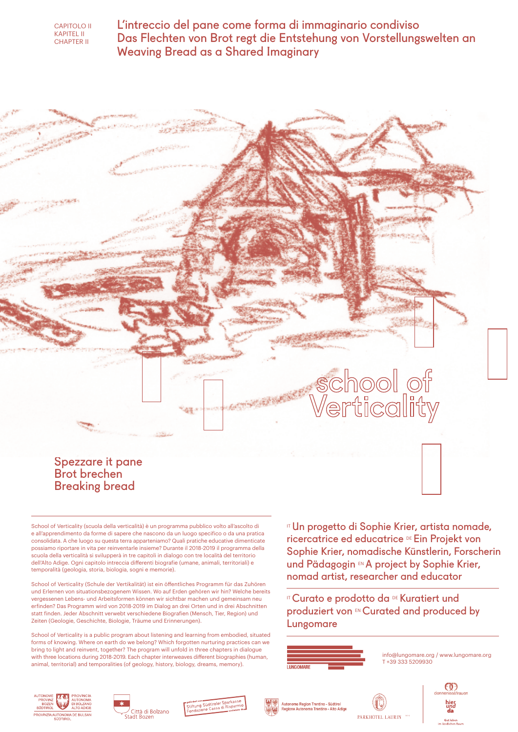

L'intreccio del pane come forma di immaginario condiviso Das Flechten von Brot regt die Entstehung von Vorstellungswelten an Weaving Bread as a Shared Imaginary



School of Verticality (scuola della verticalità) è un programma pubblico volto all'ascolto di e all'apprendimento da forme di sapere che nascono da un luogo specifico o da una pratica consolidata. A che luogo su questa terra apparteniamo? Quali pratiche educative dimenticate possiamo riportare in vita per reinventarle insieme? Durante il 2018-2019 il programma della scuola della verticalità si svilupperà in tre capitoli in dialogo con tre località del territorio dell'Alto Adige. Ogni capitolo intreccia differenti biografie (umane, animali, territoriali) e temporalità (geologia, storia, biologia, sogni e memorie).

School of Verticality (Schule der Vertikalität) ist ein öffentliches Programm für das Zuhören und Erlernen von situationsbezogenem Wissen. Wo auf Erden gehören wir hin? Welche bereits vergessenen Lebens- und Arbeitsformen können wir sichtbar machen und gemeinsam neu erfinden? Das Programm wird von 2018-2019 im Dialog an drei Orten und in drei Abschnitten statt finden. Jeder Abschnitt verwebt verschiedene Biografien (Mensch, Tier, Region) und Zeiten (Geologie, Geschichte, Biologie, Träume und Erinnerungen).

School of Verticality is a public program about listening and learning from embodied, situated forms of knowing. Where on earth do we belong? Which forgotten nurturing practices can we bring to light and reinvent, together? The program will unfold in three chapters in dialogue with three locations during 2018-2019. Each chapter interweaves different biographies (human, animal, territorial) and temporalities (of geology, history, biology, dreams, memory).

ITUn progetto di Sophie Krier, artista nomade, ricercatrice ed educatrice DE Ein Projekt von Sophie Krier, nomadische Künstlerin, Forscherin und Pädagogin EN A project by Sophie Krier, nomad artist, researcher and educator

IT Curato e prodotto da DE Kuratiert und produziert von EN Curated and produced by Lungomare



info@lungomare.org / www.lungomare.org T +39 333 5209930